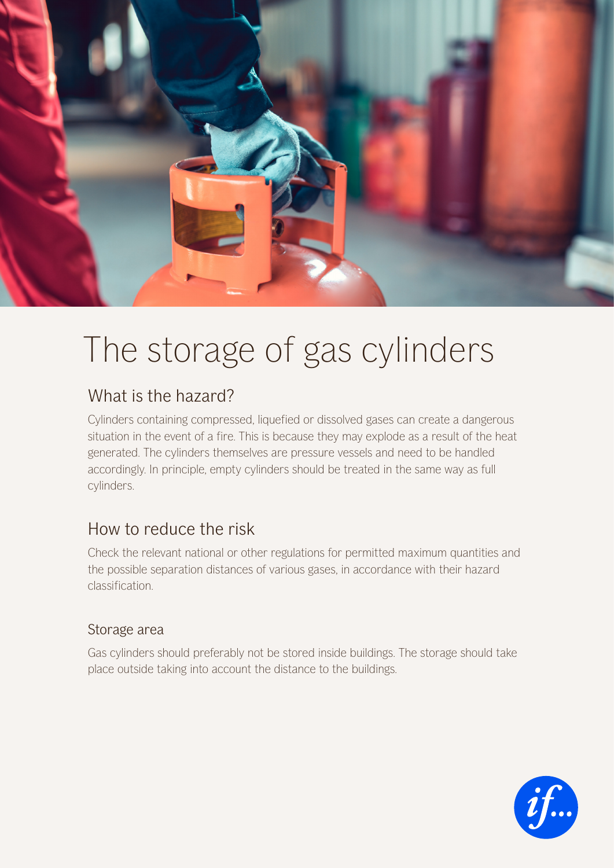

# The storage of gas cylinders

# What is the hazard?

Cylinders containing compressed, liquefied or dissolved gases can create a dangerous situation in the event of a fire. This is because they may explode as a result of the heat generated. The cylinders themselves are pressure vessels and need to be handled accordingly. In principle, empty cylinders should be treated in the same way as full cylinders.

## How to reduce the risk

Check the relevant national or other regulations for permitted maximum quantities and the possible separation distances of various gases, in accordance with their hazard classification.

### Storage area

Gas cylinders should preferably not be stored inside buildings. The storage should take place outside taking into account the distance to the buildings.

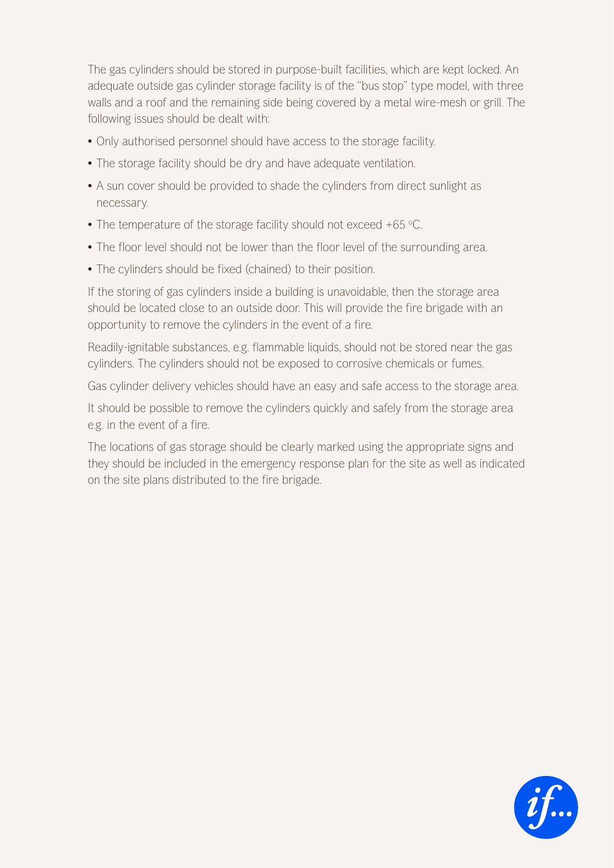The gas cylinders should be stored in purpose-built facilities, which are kept locked. An adequate outside gas cylinder storage facility is of the "bus stop" type model, with three walls and a roof and the remaining side being covered by a metal wire-mesh or grill. The following issues should be dealt with:

- Only authorised personnel should have access to the storage facility.
- The storage facility should be dry and have adequate ventilation.
- A sun cover should be provided to shade the cylinders from direct sunlight as necessary.
- The temperature of the storage facility should not exceed +65 °C.
- The floor level should not be lower than the floor level of the surrounding area.
- The cylinders should be fixed (chained) to their position.

If the storing of gas cylinders inside a building is unavoidable, then the storage area should be located close to an outside door. This will provide the fire brigade with an opportunity to remove the cylinders in the event of a fire.

Readily-ignitable substances, e.g. flammable liquids, should not be stored near the gas cylinders. The cylinders should not be exposed to corrosive chemicals or fumes.

Gas cylinder delivery vehicles should have an easy and safe access to the storage area.

It should be possible to remove the cylinders quickly and safely from the storage area e.g. in the event of a fire.

The locations of gas storage should be clearly marked using the appropriate signs and they should be included in the emergency response plan for the site as well as indicated on the site plans distributed to the fire brigade.